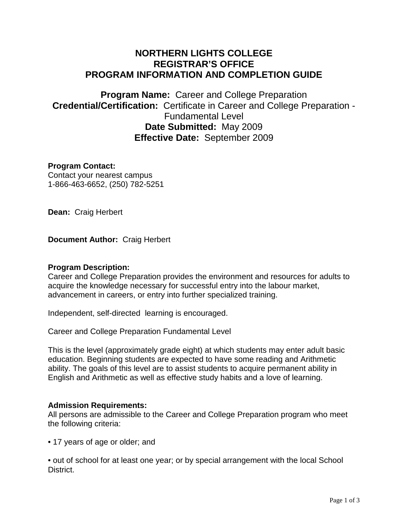# **NORTHERN LIGHTS COLLEGE REGISTRAR'S OFFICE PROGRAM INFORMATION AND COMPLETION GUIDE**

**Program Name:** Career and College Preparation **Credential/Certification:** Certificate in Career and College Preparation - Fundamental Level **Date Submitted:** May 2009 **Effective Date:** September 2009

## **Program Contact:**

Contact your nearest campus 1-866-463-6652, (250) 782-5251

**Dean:** Craig Herbert

**Document Author:** Craig Herbert

#### **Program Description:**

Career and College Preparation provides the environment and resources for adults to acquire the knowledge necessary for successful entry into the labour market, advancement in careers, or entry into further specialized training.

Independent, self-directed learning is encouraged.

Career and College Preparation Fundamental Level

This is the level (approximately grade eight) at which students may enter adult basic education. Beginning students are expected to have some reading and Arithmetic ability. The goals of this level are to assist students to acquire permanent ability in English and Arithmetic as well as effective study habits and a love of learning.

#### **Admission Requirements:**

All persons are admissible to the Career and College Preparation program who meet the following criteria:

• 17 years of age or older; and

• out of school for at least one year; or by special arrangement with the local School District.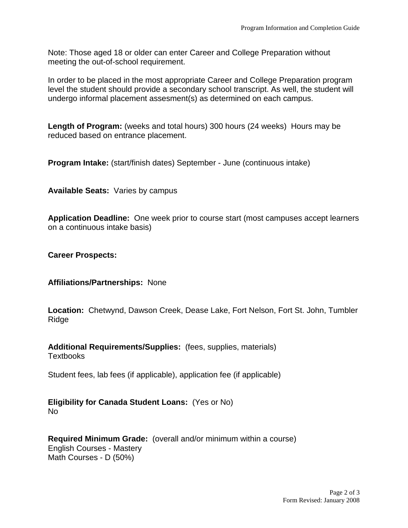Note: Those aged 18 or older can enter Career and College Preparation without meeting the out-of-school requirement.

In order to be placed in the most appropriate Career and College Preparation program level the student should provide a secondary school transcript. As well, the student will undergo informal placement assesment(s) as determined on each campus.

**Length of Program:** (weeks and total hours) 300 hours (24 weeks) Hours may be reduced based on entrance placement.

**Program Intake:** (start/finish dates) September - June (continuous intake)

**Available Seats:** Varies by campus

**Application Deadline:** One week prior to course start (most campuses accept learners on a continuous intake basis)

**Career Prospects:** 

# **Affiliations/Partnerships:** None

**Location:** Chetwynd, Dawson Creek, Dease Lake, Fort Nelson, Fort St. John, Tumbler **Ridge** 

**Additional Requirements/Supplies:** (fees, supplies, materials) **Textbooks** 

Student fees, lab fees (if applicable), application fee (if applicable)

## **Eligibility for Canada Student Loans:** (Yes or No) No

#### **Required Minimum Grade:** (overall and/or minimum within a course) English Courses - Mastery Math Courses - D (50%)